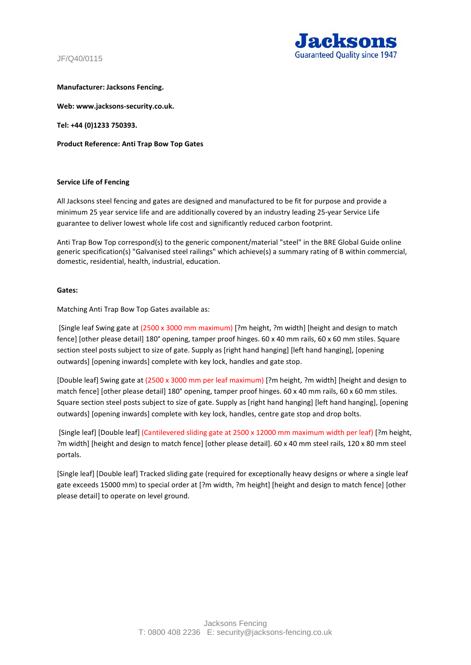JF/Q40/0115



#### **Manufacturer: Jacksons Fencing.**

**Web: www.jacksons-security.co.uk.** 

**Tel: +44 (0)1233 750393.** 

**Product Reference: Anti Trap Bow Top Gates**

#### **Service Life of Fencing**

All Jacksons steel fencing and gates are designed and manufactured to be fit for purpose and provide a minimum 25 year service life and are additionally covered by an industry leading 25-year Service Life guarantee to deliver lowest whole life cost and significantly reduced carbon footprint.

Anti Trap Bow Top correspond(s) to the generic component/material "steel" in the BRE Global Guide online generic specification(s) "Galvanised steel railings" which achieve(s) a summary rating of B within commercial, domestic, residential, health, industrial, education.

#### **Gates:**

Matching Anti Trap Bow Top Gates available as:

[Single leaf Swing gate at (2500 x 3000 mm maximum) [?m height, ?m width] [height and design to match fence] [other please detail] 180° opening, tamper proof hinges. 60 x 40 mm rails, 60 x 60 mm stiles. Square section steel posts subject to size of gate. Supply as [right hand hanging] [left hand hanging], [opening outwards] [opening inwards] complete with key lock, handles and gate stop.

[Double leaf] Swing gate at (2500 x 3000 mm per leaf maximum) [?m height, ?m width] [height and design to match fence] [other please detail] 180° opening, tamper proof hinges. 60 x 40 mm rails, 60 x 60 mm stiles. Square section steel posts subject to size of gate. Supply as [right hand hanging] [left hand hanging], [opening outwards] [opening inwards] complete with key lock, handles, centre gate stop and drop bolts.

[Single leaf] [Double leaf] (Cantilevered sliding gate at 2500 x 12000 mm maximum width per leaf) [?m height, ?m width] [height and design to match fence] [other please detail]. 60 x 40 mm steel rails, 120 x 80 mm steel portals.

[Single leaf] [Double leaf] Tracked sliding gate (required for exceptionally heavy designs or where a single leaf gate exceeds 15000 mm) to special order at [?m width, ?m height] [height and design to match fence] [other please detail] to operate on level ground.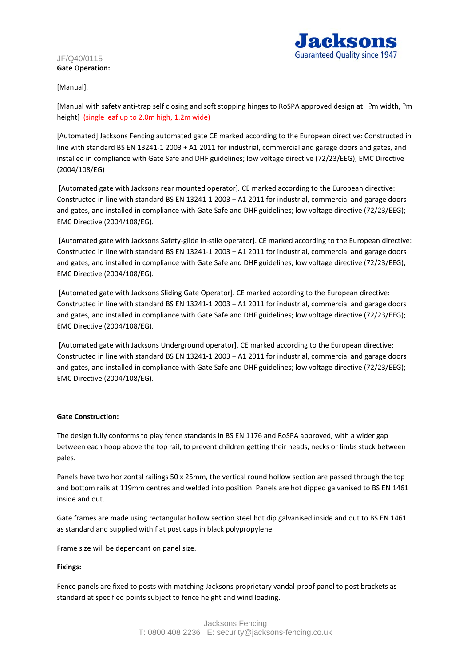#### JF/Q40/0115 **Gate Operation:**



# [Manual].

[Manual with safety anti-trap self closing and soft stopping hinges to RoSPA approved design at ?m width, ?m height] (single leaf up to 2.0m high, 1.2m wide)

[Automated] Jacksons Fencing automated gate CE marked according to the European directive: Constructed in line with standard BS EN 13241-1 2003 + A1 2011 for industrial, commercial and garage doors and gates, and installed in compliance with Gate Safe and DHF guidelines; low voltage directive (72/23/EEG); EMC Directive (2004/108/EG)

[Automated gate with Jacksons rear mounted operator]. CE marked according to the European directive: Constructed in line with standard BS EN 13241-1 2003 + A1 2011 for industrial, commercial and garage doors and gates, and installed in compliance with Gate Safe and DHF guidelines; low voltage directive (72/23/EEG); EMC Directive (2004/108/EG).

[Automated gate with Jacksons Safety-glide in-stile operator]. CE marked according to the European directive: Constructed in line with standard BS EN 13241-1 2003 + A1 2011 for industrial, commercial and garage doors and gates, and installed in compliance with Gate Safe and DHF guidelines; low voltage directive (72/23/EEG); EMC Directive (2004/108/EG).

[Automated gate with Jacksons Sliding Gate Operator]. CE marked according to the European directive: Constructed in line with standard BS EN 13241-1 2003 + A1 2011 for industrial, commercial and garage doors and gates, and installed in compliance with Gate Safe and DHF guidelines; low voltage directive (72/23/EEG); EMC Directive (2004/108/EG).

[Automated gate with Jacksons Underground operator]. CE marked according to the European directive: Constructed in line with standard BS EN 13241-1 2003 + A1 2011 for industrial, commercial and garage doors and gates, and installed in compliance with Gate Safe and DHF guidelines; low voltage directive (72/23/EEG); EMC Directive (2004/108/EG).

## **Gate Construction:**

The design fully conforms to play fence standards in BS EN 1176 and RoSPA approved, with a wider gap between each hoop above the top rail, to prevent children getting their heads, necks or limbs stuck between pales.

Panels have two horizontal railings 50 x 25mm, the vertical round hollow section are passed through the top and bottom rails at 119mm centres and welded into position. Panels are hot dipped galvanised to BS EN 1461 inside and out.

Gate frames are made using rectangular hollow section steel hot dip galvanised inside and out to BS EN 1461 as standard and supplied with flat post caps in black polypropylene.

Frame size will be dependant on panel size.

## **Fixings:**

Fence panels are fixed to posts with matching Jacksons proprietary vandal-proof panel to post brackets as standard at specified points subject to fence height and wind loading.